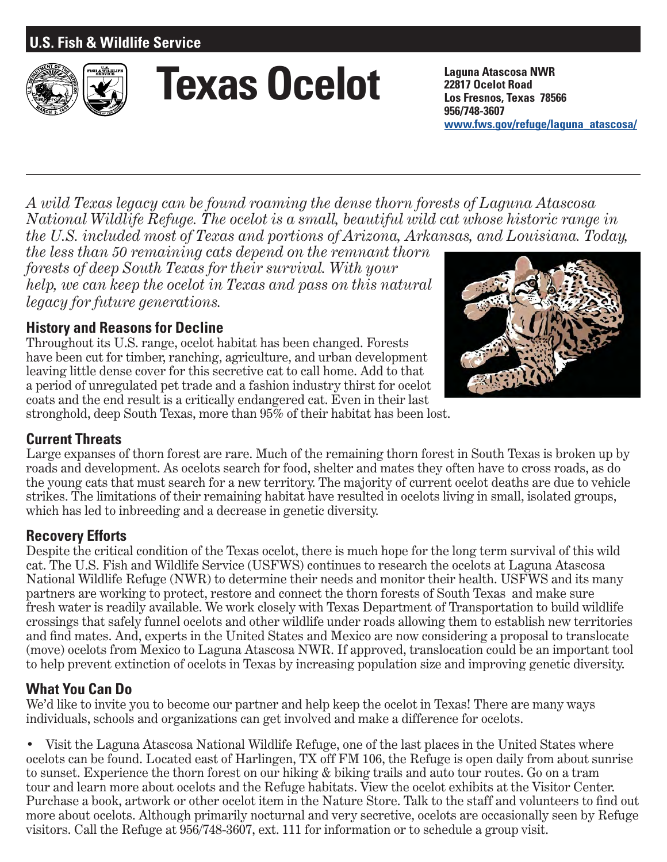# **U.S. Fish & Wildlife Service**



# **Texas Ocelot Laguna Atascosa NWR**

**22817 Ocelot Road Los Fresnos, Texas 78566 956/748-3607 www.fws.gov/refuge/laguna\_atascosa/**

*A wild Texas legacy can be found roaming the dense thorn forests of Laguna Atascosa National Wildlife Refuge. The ocelot is a small, beautiful wild cat whose historic range in the U.S. included most of Texas and portions of Arizona, Arkansas, and Louisiana. Today,* 

*the less than 50 remaining cats depend on the remnant thorn forests of deep South Texas for their survival. With your help, we can keep the ocelot in Texas and pass on this natural legacy for future generations.*

## **History and Reasons for Decline**

Throughout its U.S. range, ocelot habitat has been changed. Forests have been cut for timber, ranching, agriculture, and urban development leaving little dense cover for this secretive cat to call home. Add to that a period of unregulated pet trade and a fashion industry thirst for ocelot coats and the end result is a critically endangered cat. Even in their last stronghold, deep South Texas, more than 95% of their habitat has been lost.



## **Current Threats**

Large expanses of thorn forest are rare. Much of the remaining thorn forest in South Texas is broken up by roads and development. As ocelots search for food, shelter and mates they often have to cross roads, as do the young cats that must search for a new territory. The majority of current ocelot deaths are due to vehicle strikes. The limitations of their remaining habitat have resulted in ocelots living in small, isolated groups, which has led to inbreeding and a decrease in genetic diversity.

#### **Recovery Efforts**

Despite the critical condition of the Texas ocelot, there is much hope for the long term survival of this wild cat. The U.S. Fish and Wildlife Service (USFWS) continues to research the ocelots at Laguna Atascosa National Wildlife Refuge (NWR) to determine their needs and monitor their health. USFWS and its many partners are working to protect, restore and connect the thorn forests of South Texas and make sure fresh water is readily available. We work closely with Texas Department of Transportation to build wildlife crossings that safely funnel ocelots and other wildlife under roads allowing them to establish new territories and find mates. And, experts in the United States and Mexico are now considering a proposal to translocate (move) ocelots from Mexico to Laguna Atascosa NWR. If approved, translocation could be an important tool to help prevent extinction of ocelots in Texas by increasing population size and improving genetic diversity.

## **What You Can Do**

We'd like to invite you to become our partner and help keep the ocelot in Texas! There are many ways individuals, schools and organizations can get involved and make a difference for ocelots.

• Visit the Laguna Atascosa National Wildlife Refuge, one of the last places in the United States where ocelots can be found. Located east of Harlingen, TX off FM 106, the Refuge is open daily from about sunrise to sunset. Experience the thorn forest on our hiking & biking trails and auto tour routes. Go on a tram tour and learn more about ocelots and the Refuge habitats. View the ocelot exhibits at the Visitor Center. Purchase a book, artwork or other ocelot item in the Nature Store. Talk to the staff and volunteers to find out more about ocelots. Although primarily nocturnal and very secretive, ocelots are occasionally seen by Refuge visitors. Call the Refuge at 956/748-3607, ext. 111 for information or to schedule a group visit.